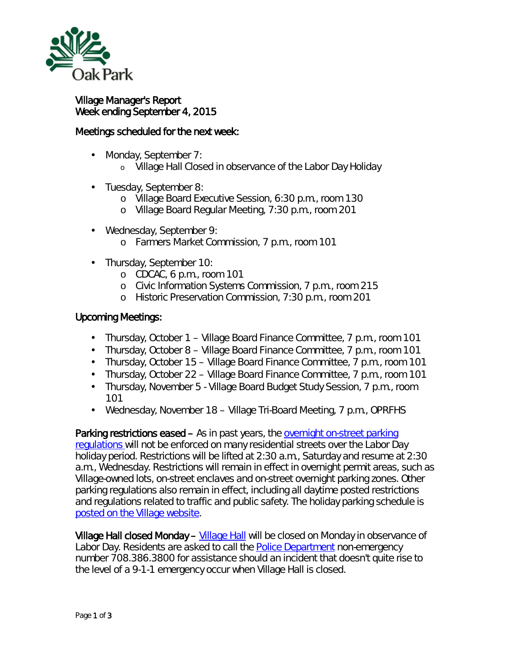

## Village Manager's Report Week ending September 4, 2015

## Meetings scheduled for the next week:

- Monday, September 7: L.
	- o Village Hall Closed in observance of the Labor Day Holiday
- Tuesday, September 8:
	- o Village Board Executive Session, 6:30 p.m., room 130
	- o Village Board Regular Meeting, 7:30 p.m., room 201
- Wednesday, September 9:
	- o Farmers Market Commission, 7 p.m., room 101
- Thursday, September 10:
	- o CDCAC, 6 p.m., room 101
	- o Civic Information Systems Commission, 7 p.m., room 215
	- o Historic Preservation Commission, 7:30 p.m., room 201

## Upcoming Meetings:

- Thursday, October 1 Village Board Finance Committee, 7 p.m., room 101
- Thursday, October 8 Village Board Finance Committee, 7 p.m., room 101
- Thursday, October 15 Village Board Finance Committee, 7 p.m., room 101
- Thursday, October 22 Village Board Finance Committee, 7 p.m., room 101  $\mathbf{r}$
- Thursday, November 5 Village Board Budget Study Session, 7 p.m., room  $\mathbf{r}^{\prime}$ 101
- Wednesday, November 18 Village Tri-Board Meeting, 7 p.m., OPRFHS  $\mathbf{r}^{\prime}$

Parking restrictions eased – As in past years, the [overnight on-street parking](http://r20.rs6.net/tn.jsp?f=001z6TR_BhTGu_LJC0riolykkl-S9c4-v80J4K4RQCXSkLh-oDkOOZBfrJK-_Ji3V49JGIZmKaB9HFd1KX_VuKTDbrA_Ks7D1pEHY_o579PBEHnMTgW5gPqjfI8_XJL49QQZlAbnHH9IFHNFovCD5C7jx-xnYkBxYjD8pExTj3uBxd_srLGt4W4EMlpX2abJ0dhPoftpJPT6mov2gBQeSEsv2UrUFTGhnquZD9TVDlocqUhWTN6CjICXFw2cZPb9oOY8A8FW8voi8lpQ4vqjoVV7GGsLW6tTtM8Y4b0GiUt5GVXScjjXVarMAFgzpb2XRYqzAv6dbJRD8LiDgdviO6uUNk6fFx1w8gmmTkx1prs8Mo=&c=xTdKJiOFCcKV3PgP9hgjVdAggpcPuYV1J-CdyAO2tBFUf6J6ETnC5Q==&ch=N3YGH-xEI1Y5K7O-gNY9ZOSy3h1i2Jdffzufq9INHMXsRwnXcxUbTg==)  [regulations w](http://r20.rs6.net/tn.jsp?f=001z6TR_BhTGu_LJC0riolykkl-S9c4-v80J4K4RQCXSkLh-oDkOOZBfrJK-_Ji3V49JGIZmKaB9HFd1KX_VuKTDbrA_Ks7D1pEHY_o579PBEHnMTgW5gPqjfI8_XJL49QQZlAbnHH9IFHNFovCD5C7jx-xnYkBxYjD8pExTj3uBxd_srLGt4W4EMlpX2abJ0dhPoftpJPT6mov2gBQeSEsv2UrUFTGhnquZD9TVDlocqUhWTN6CjICXFw2cZPb9oOY8A8FW8voi8lpQ4vqjoVV7GGsLW6tTtM8Y4b0GiUt5GVXScjjXVarMAFgzpb2XRYqzAv6dbJRD8LiDgdviO6uUNk6fFx1w8gmmTkx1prs8Mo=&c=xTdKJiOFCcKV3PgP9hgjVdAggpcPuYV1J-CdyAO2tBFUf6J6ETnC5Q==&ch=N3YGH-xEI1Y5K7O-gNY9ZOSy3h1i2Jdffzufq9INHMXsRwnXcxUbTg==)ill not be enforced on many residential streets over the Labor Day holiday period. Restrictions will be lifted at 2:30 a.m., Saturday and resume at 2:30 a.m., Wednesday. Restrictions will remain in effect in overnight permit areas, such as Village-owned lots, on-street enclaves and on-street overnight parking zones. Other parking regulations also remain in effect, including all daytime posted restrictions and regulations related to traffic and public safety. The holiday parking schedule is [posted on the Village website.](http://www.oak-park.us/village-services/parking/holiday-parking)

Village Hall closed Monday – [Village Hall](http://r20.rs6.net/tn.jsp?f=001z6TR_BhTGu_LJC0riolykkl-S9c4-v80J4K4RQCXSkLh-oDkOOZBfs0c9FyycItFB4DCbW-8oGwpR3nFRucvjK5PmF-kyMA-yvLaOXRsTkwY1y7vIouTWMCaG1T5rfweMzVo45zi0v96k37T6XIeBTx1CP3azYqp7Yd42lEnu-XzT_-bd1QiZwlmYhyzf-vfwk5U7sowO_DMk6phpmXozAELUtUiSZ2OFzg02ShbgOJrmMpPK94b9w6ErJK9KTlV9f_NasT6pTwjhtZPiejEZ20MAK1WjwX78NLHTAYiZtj4KlMRSkEzSG0F2XEusA7wuE7sq5bqJoNAg1WsIjzgbg==&c=xTdKJiOFCcKV3PgP9hgjVdAggpcPuYV1J-CdyAO2tBFUf6J6ETnC5Q==&ch=N3YGH-xEI1Y5K7O-gNY9ZOSy3h1i2Jdffzufq9INHMXsRwnXcxUbTg==) will be closed on Monday in observance of Labor Day. Residents are asked to call the **Police Department non-emergency** number 708.386.3800 for assistance should an incident that doesn't quite rise to the level of a 9-1-1 emergency occur when Village Hall is closed.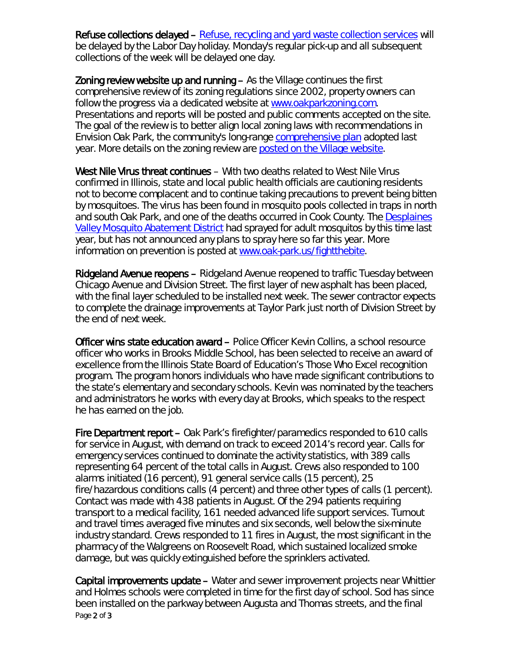Refuse collections delayed – [Refuse, recycling and yard waste collection services](http://r20.rs6.net/tn.jsp?f=001z6TR_BhTGu_LJC0riolykkl-S9c4-v80J4K4RQCXSkLh-oDkOOZBfrJK-_Ji3V49zFOj-Re8DWDDUvYPok4bC87CRYt7qoKHbgb4cSfccvY_EFKFugKQcGnT3iDQOA2Ts3RlFfjMcUY6ZJfSwKJbXUh9Ewizv5RUtjhd5d0hCkn7slShdId2opCZkSAVKomtLH__ih8DPPL08L1oWU68KMqnFV-Dq3Auwa9XKqvmbXe8jG2NIbhVw3lf95cjMh0hZMnzPcqBOegmyll-lYjmFR-4ijgOGxJ2H9szkXjPsncRpOdDCXMWV5DAY2VN9VZ4BakCyWYNNjI=&c=xTdKJiOFCcKV3PgP9hgjVdAggpcPuYV1J-CdyAO2tBFUf6J6ETnC5Q==&ch=N3YGH-xEI1Y5K7O-gNY9ZOSy3h1i2Jdffzufq9INHMXsRwnXcxUbTg==) will be delayed by the Labor Day holiday. Monday's regular pick-up and all subsequent collections of the week will be delayed one day.

Zoning review website up and running – As the Village continues the first comprehensive review of its zoning regulations since 2002, property owners can follow the progress via a dedicated website at [www.oakparkzoning.com.](http://r20.rs6.net/tn.jsp?f=001z6TR_BhTGu_LJC0riolykkl-S9c4-v80J4K4RQCXSkLh-oDkOOZBfsdANBvRl3hnYds0fCbSWYjSxwuhx3cQKu0yBxMbCPDoK-qCn8Yu_tJZlqv6UoEcPS8JuJ0wKlmHkQzwRcCoUhADrFptgbjomfq-09YEaqzuYy-9Ja8rhZPzXP_E0_Yfq5Y4hba3n-exbaBFUxpSCyGDeH_ewiSV_h3jzejQR-5zV4e6hi0ZZfHu7iU1USlEePCjNN2F2D1pYcmmywe3toLGNWznZdn0CZme1kk4ETy4&c=xTdKJiOFCcKV3PgP9hgjVdAggpcPuYV1J-CdyAO2tBFUf6J6ETnC5Q==&ch=N3YGH-xEI1Y5K7O-gNY9ZOSy3h1i2Jdffzufq9INHMXsRwnXcxUbTg==) Presentations and reports will be posted and public comments accepted on the site. The goal of the review is to better align local zoning laws with recommendations in Envision Oak Park, the community's long-range [comprehensive plan](http://www.oak-park.us/village-services/planning/comprehensive-planning) adopted last year. More details on the zoning review are [posted on the Village website.](http://www.oak-park.us/news/comprehensive-zoning-review-underway)

West Nile Virus threat continues – With two deaths related to West Nile Virus confirmed in Illinois, state and local public health officials are cautioning residents not to become complacent and to continue taking precautions to prevent being bitten by mosquitoes. The virus has been found in mosquito pools collected in traps in north and south Oak Park, and one of the deaths occurred in Cook County. The [Desplaines](http://www.desplainesvalleymad.com/)  [Valley Mosquito Abatement District](http://www.desplainesvalleymad.com/) had sprayed for adult mosquitos by this time last year, but has not announced any plans to spray here so far this year. More information on prevention is posted at [www.oak-park.us/fightthebite.](http://r20.rs6.net/tn.jsp?f=001z6TR_BhTGu_LJC0riolykkl-S9c4-v80J4K4RQCXSkLh-oDkOOZBfl5ggUEkDpj2jtyhwKpuKHHEo-4lJFER6ojcO4vzoCgx9nX4PgRlAQqLeZU9jZUfHpYcY3kAdisno7Lo-Koe2FUYVd8UDRidBDMr7xBfhgSOXym9ZQw1ip55JcHNvGjQhqWwO5gfD8g4HwQDikTtcw_7I0RQZq6uLLzBvZCTaXm8IAXY8KeIPO0vgsrITpbuRlRYCXRqucDmOez4c4WyS0XYw9HFVTBU_KzN_KbHpf--ogUtWd_W3WiRWNk3UOKy1TAa3kye7cZqeDG0SsbESPNK-qjZkPKFLES_gOLLhF1j&c=xTdKJiOFCcKV3PgP9hgjVdAggpcPuYV1J-CdyAO2tBFUf6J6ETnC5Q==&ch=N3YGH-xEI1Y5K7O-gNY9ZOSy3h1i2Jdffzufq9INHMXsRwnXcxUbTg==)

Ridgeland Avenue reopens – Ridgeland Avenue reopened to traffic Tuesday between Chicago Avenue and Division Street. The first layer of new asphalt has been placed, with the final layer scheduled to be installed next week. The sewer contractor expects to complete the drainage improvements at Taylor Park just north of Division Street by the end of next week.

Officer wins state education award – Police Officer Kevin Collins, a school resource officer who works in Brooks Middle School, has been selected to receive an award of excellence from the Illinois State Board of Education's *Those Who Excel* recognition program. The program honors individuals who have made significant contributions to the state's elementary and secondary schools. Kevin was nominated by the teachers and administrators he works with every day at Brooks, which speaks to the respect he has earned on the job.

Fire Department report – Oak Park's firefighter/paramedics responded to 610 calls for service in August, with demand on track to exceed 2014's record year. Calls for emergency services continued to dominate the activity statistics, with 389 calls representing 64 percent of the total calls in August. Crews also responded to 100 alarms initiated (16 percent), 91 general service calls (15 percent), 25 fire/hazardous conditions calls (4 percent) and three other types of calls (1 percent). Contact was made with 438 patients in August. Of the 294 patients requiring transport to a medical facility, 161 needed advanced life support services. Turnout and travel times averaged five minutes and six seconds, well below the six-minute industry standard. Crews responded to 11 fires in August, the most significant in the pharmacy of the Walgreens on Roosevelt Road, which sustained localized smoke damage, but was quickly extinguished before the sprinklers activated.

Page 2 of 3 Capital improvements update – Water and sewer improvement projects near Whittier and Holmes schools were completed in time for the first day of school. Sod has since been installed on the parkway between Augusta and Thomas streets, and the final